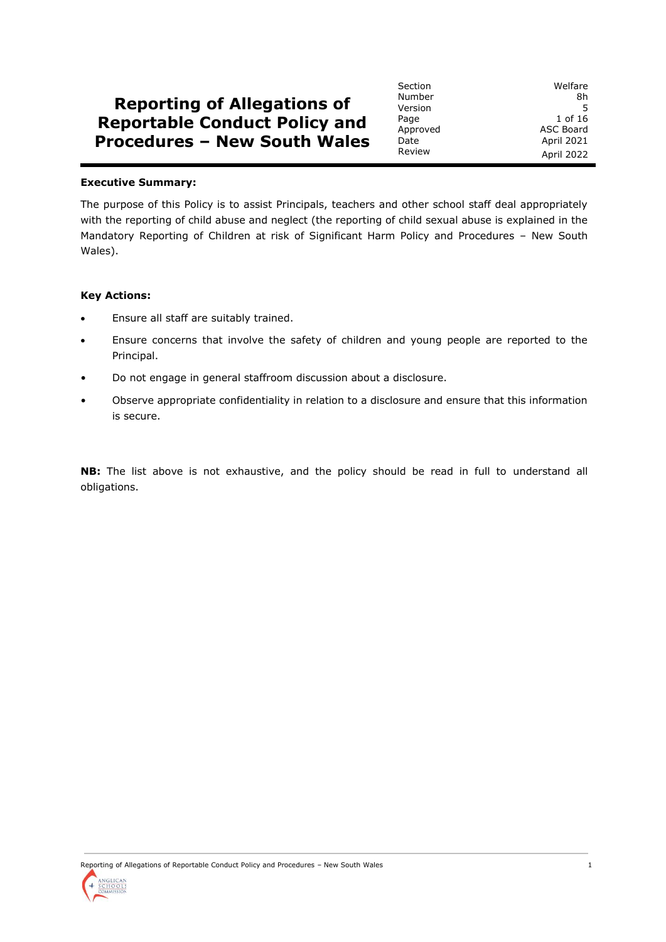# **Reporting of Allegations of Reportable Conduct Policy and Procedures – New South Wales**

#### **Executive Summary:**

The purpose of this Policy is to assist Principals, teachers and other school staff deal appropriately with the reporting of child abuse and neglect (the reporting of child sexual abuse is explained in the Mandatory Reporting of Children at risk of Significant Harm Policy and Procedures – New South Wales).

#### **Key Actions:**

- Ensure all staff are suitably trained.
- Ensure concerns that involve the safety of children and young people are reported to the Principal.
- Do not engage in general staffroom discussion about a disclosure.
- Observe appropriate confidentiality in relation to a disclosure and ensure that this information is secure.

**NB:** The list above is not exhaustive, and the policy should be read in full to understand all obligations.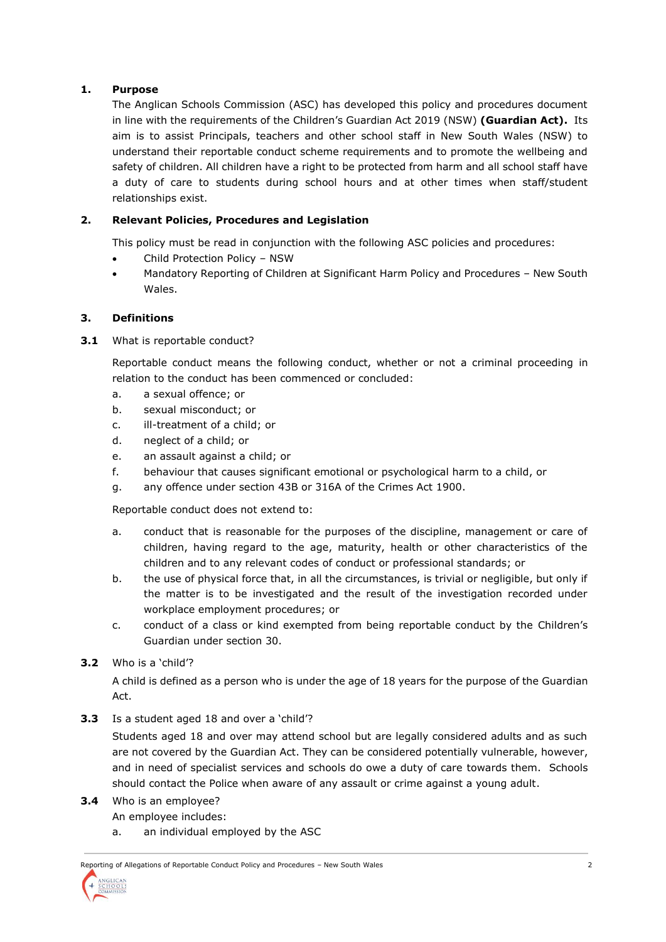# **1. Purpose**

The Anglican Schools Commission (ASC) has developed this policy and procedures document in line with the requirements of the Children's Guardian Act 2019 (NSW) **(Guardian Act).** Its aim is to assist Principals, teachers and other school staff in New South Wales (NSW) to understand their reportable conduct scheme requirements and to promote the wellbeing and safety of children. All children have a right to be protected from harm and all school staff have a duty of care to students during school hours and at other times when staff/student relationships exist.

# **2. Relevant Policies, Procedures and Legislation**

This policy must be read in conjunction with the following ASC policies and procedures:

- Child Protection Policy NSW
- Mandatory Reporting of Children at Significant Harm Policy and Procedures New South Wales.

## **3. Definitions**

**3.1** What is reportable conduct?

Reportable conduct means the following conduct, whether or not a criminal proceeding in relation to the conduct has been commenced or concluded:

- a. a sexual offence; or
- b. sexual misconduct; or
- c. ill-treatment of a child; or
- d. neglect of a child; or
- e. an assault against a child; or
- f. behaviour that causes significant emotional or psychological harm to a child, or
- g. any offence under section 43B or 316A of the Crimes Act 1900.

Reportable conduct does not extend to:

- a. conduct that is reasonable for the purposes of the discipline, management or care of children, having regard to the age, maturity, health or other characteristics of the children and to any relevant codes of conduct or professional standards; or
- b. the use of physical force that, in all the circumstances, is trivial or negligible, but only if the matter is to be investigated and the result of the investigation recorded under workplace employment procedures; or
- c. conduct of a class or kind exempted from being reportable conduct by the Children's Guardian under section 30.

## **3.2** Who is a 'child'?

A child is defined as a person who is under the age of 18 years for the purpose of the Guardian Act.

**3.3** Is a student aged 18 and over a 'child'?

Students aged 18 and over may attend school but are legally considered adults and as such are not covered by the Guardian Act. They can be considered potentially vulnerable, however, and in need of specialist services and schools do owe a duty of care towards them. Schools should contact the Police when aware of any assault or crime against a young adult.

**3.4** Who is an employee?

An employee includes:

a. an individual employed by the ASC

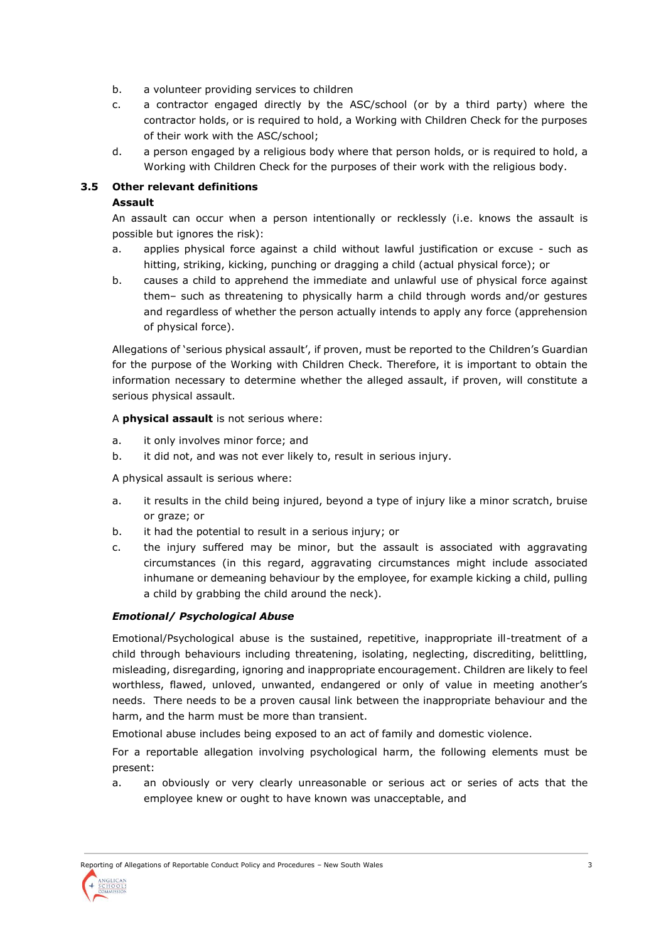- b. a volunteer providing services to children
- c. a contractor engaged directly by the ASC/school (or by a third party) where the contractor holds, or is required to hold, a Working with Children Check for the purposes of their work with the ASC/school;
- d. a person engaged by a religious body where that person holds, or is required to hold, a Working with Children Check for the purposes of their work with the religious body.

## **3.5 Other relevant definitions**

## **Assault**

An assault can occur when a person intentionally or recklessly (i.e. knows the assault is possible but ignores the risk):

- a. applies physical force against a child without lawful justification or excuse such as hitting, striking, kicking, punching or dragging a child (actual physical force); or
- b. causes a child to apprehend the immediate and unlawful use of physical force against them– such as threatening to physically harm a child through words and/or gestures and regardless of whether the person actually intends to apply any force (apprehension of physical force).

Allegations of 'serious physical assault', if proven, must be reported to the Children's Guardian for the purpose of the Working with Children Check. Therefore, it is important to obtain the information necessary to determine whether the alleged assault, if proven, will constitute a serious physical assault.

## A **physical assault** is not serious where:

- a. it only involves minor force; and
- b. it did not, and was not ever likely to, result in serious injury.

A physical assault is serious where:

- a. it results in the child being injured, beyond a type of injury like a minor scratch, bruise or graze; or
- b. it had the potential to result in a serious injury; or
- c. the injury suffered may be minor, but the assault is associated with aggravating circumstances (in this regard, aggravating circumstances might include associated inhumane or demeaning behaviour by the employee, for example kicking a child, pulling a child by grabbing the child around the neck).

# *Emotional/ Psychological Abuse*

Emotional/Psychological abuse is the sustained, repetitive, inappropriate ill-treatment of a child through behaviours including threatening, isolating, neglecting, discrediting, belittling, misleading, disregarding, ignoring and inappropriate encouragement. Children are likely to feel worthless, flawed, unloved, unwanted, endangered or only of value in meeting another's needs. There needs to be a proven causal link between the inappropriate behaviour and the harm, and the harm must be more than transient.

Emotional abuse includes being exposed to an act of family and domestic violence.

For a reportable allegation involving psychological harm, the following elements must be present:

a. an obviously or very clearly unreasonable or serious act or series of acts that the employee knew or ought to have known was unacceptable, and

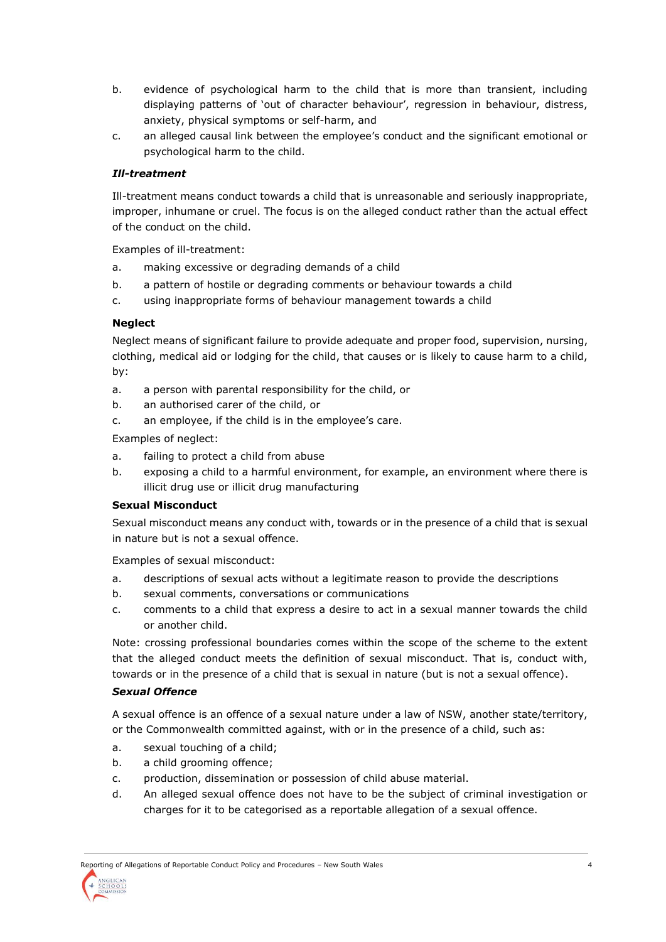- b. evidence of psychological harm to the child that is more than transient, including displaying patterns of 'out of character behaviour', regression in behaviour, distress, anxiety, physical symptoms or self-harm, and
- c. an alleged causal link between the employee's conduct and the significant emotional or psychological harm to the child.

## *Ill-treatment*

Ill-treatment means conduct towards a child that is unreasonable and seriously inappropriate, improper, inhumane or cruel. The focus is on the alleged conduct rather than the actual effect of the conduct on the child.

Examples of ill-treatment:

- a. making excessive or degrading demands of a child
- b. a pattern of hostile or degrading comments or behaviour towards a child
- c. using inappropriate forms of behaviour management towards a child

## **Neglect**

Neglect means of significant failure to provide adequate and proper food, supervision, nursing, clothing, medical aid or lodging for the child, that causes or is likely to cause harm to a child, by:

- a. a person with parental responsibility for the child, or
- b. an authorised carer of the child, or
- c. an employee, if the child is in the employee's care.

Examples of neglect:

- a. failing to protect a child from abuse
- b. exposing a child to a harmful environment, for example, an environment where there is illicit drug use or illicit drug manufacturing

## **Sexual Misconduct**

Sexual misconduct means any conduct with, towards or in the presence of a child that is sexual in nature but is not a sexual offence.

Examples of sexual misconduct:

- a. descriptions of sexual acts without a legitimate reason to provide the descriptions
- b. sexual comments, conversations or communications
- c. comments to a child that express a desire to act in a sexual manner towards the child or another child.

Note: crossing professional boundaries comes within the scope of the scheme to the extent that the alleged conduct meets the definition of sexual misconduct. That is, conduct with, towards or in the presence of a child that is sexual in nature (but is not a sexual offence).

## *Sexual Offence*

A sexual offence is an offence of a sexual nature under a law of NSW, another state/territory, or the Commonwealth committed against, with or in the presence of a child, such as:

- a. sexual touching of a child;
- b. a child grooming offence;
- c. production, dissemination or possession of child abuse material.
- d. An alleged sexual offence does not have to be the subject of criminal investigation or charges for it to be categorised as a reportable allegation of a sexual offence.

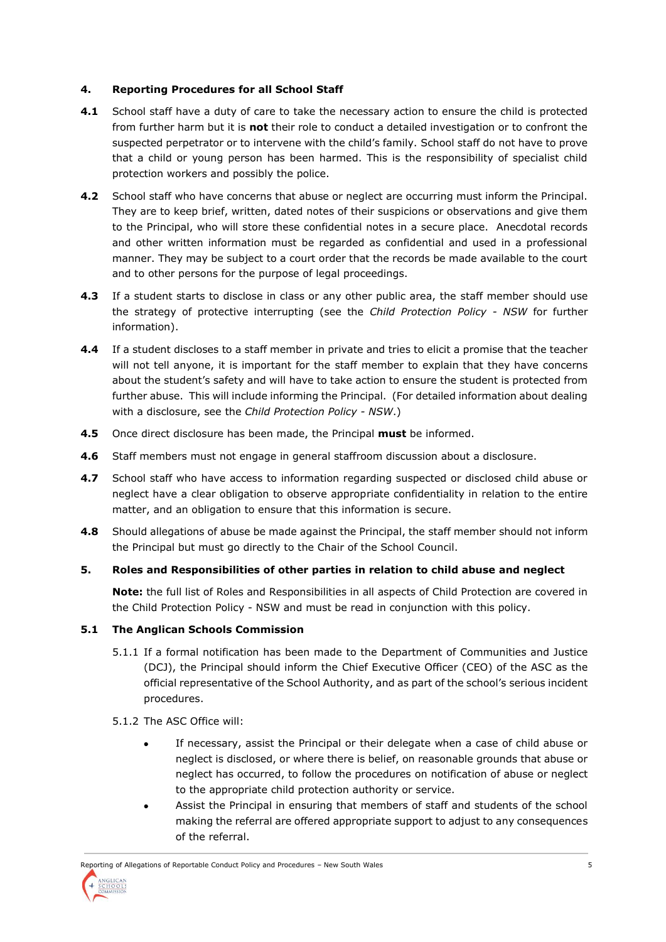## **4. Reporting Procedures for all School Staff**

- **4.1** School staff have a duty of care to take the necessary action to ensure the child is protected from further harm but it is **not** their role to conduct a detailed investigation or to confront the suspected perpetrator or to intervene with the child's family. School staff do not have to prove that a child or young person has been harmed. This is the responsibility of specialist child protection workers and possibly the police.
- **4.2** School staff who have concerns that abuse or neglect are occurring must inform the Principal. They are to keep brief, written, dated notes of their suspicions or observations and give them to the Principal, who will store these confidential notes in a secure place. Anecdotal records and other written information must be regarded as confidential and used in a professional manner. They may be subject to a court order that the records be made available to the court and to other persons for the purpose of legal proceedings.
- **4.3** If a student starts to disclose in class or any other public area, the staff member should use the strategy of protective interrupting (see the *Child Protection Policy - NSW* for further information).
- **4.4** If a student discloses to a staff member in private and tries to elicit a promise that the teacher will not tell anyone, it is important for the staff member to explain that they have concerns about the student's safety and will have to take action to ensure the student is protected from further abuse. This will include informing the Principal. (For detailed information about dealing with a disclosure, see the *Child Protection Policy - NSW*.)
- **4.5** Once direct disclosure has been made, the Principal **must** be informed.
- **4.6** Staff members must not engage in general staffroom discussion about a disclosure.
- **4.7** School staff who have access to information regarding suspected or disclosed child abuse or neglect have a clear obligation to observe appropriate confidentiality in relation to the entire matter, and an obligation to ensure that this information is secure.
- **4.8** Should allegations of abuse be made against the Principal, the staff member should not inform the Principal but must go directly to the Chair of the School Council.
- **5. Roles and Responsibilities of other parties in relation to child abuse and neglect**

**Note:** the full list of Roles and Responsibilities in all aspects of Child Protection are covered in the Child Protection Policy - NSW and must be read in conjunction with this policy.

# **5.1 The Anglican Schools Commission**

- 5.1.1 If a formal notification has been made to the Department of Communities and Justice (DCJ), the Principal should inform the Chief Executive Officer (CEO) of the ASC as the official representative of the School Authority, and as part of the school's serious incident procedures.
- 5.1.2 The ASC Office will:
	- If necessary, assist the Principal or their delegate when a case of child abuse or neglect is disclosed, or where there is belief, on reasonable grounds that abuse or neglect has occurred, to follow the procedures on notification of abuse or neglect to the appropriate child protection authority or service.
	- Assist the Principal in ensuring that members of staff and students of the school making the referral are offered appropriate support to adjust to any consequences of the referral.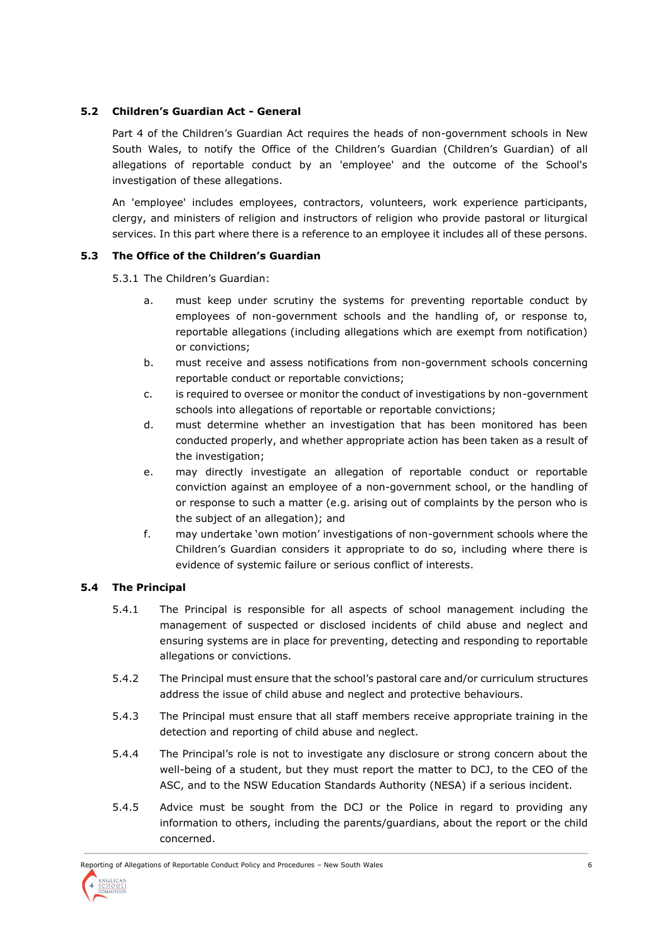# **5.2 Children's Guardian Act - General**

Part 4 of the Children's Guardian Act requires the heads of non-government schools in New South Wales, to notify the Office of the Children's Guardian (Children's Guardian) of all allegations of reportable conduct by an 'employee' and the outcome of the School's investigation of these allegations.

An 'employee' includes employees, contractors, volunteers, work experience participants, clergy, and ministers of religion and instructors of religion who provide pastoral or liturgical services. In this part where there is a reference to an employee it includes all of these persons.

## **5.3 The Office of the Children's Guardian**

5.3.1 The Children's Guardian:

- a. must keep under scrutiny the systems for preventing reportable conduct by employees of non-government schools and the handling of, or response to, reportable allegations (including allegations which are exempt from notification) or convictions;
- b. must receive and assess notifications from non-government schools concerning reportable conduct or reportable convictions;
- c. is required to oversee or monitor the conduct of investigations by non-government schools into allegations of reportable or reportable convictions;
- d. must determine whether an investigation that has been monitored has been conducted properly, and whether appropriate action has been taken as a result of the investigation;
- e. may directly investigate an allegation of reportable conduct or reportable conviction against an employee of a non-government school, or the handling of or response to such a matter (e.g. arising out of complaints by the person who is the subject of an allegation); and
- f. may undertake 'own motion' investigations of non-government schools where the Children's Guardian considers it appropriate to do so, including where there is evidence of systemic failure or serious conflict of interests.

## **5.4 The Principal**

- 5.4.1 The Principal is responsible for all aspects of school management including the management of suspected or disclosed incidents of child abuse and neglect and ensuring systems are in place for preventing, detecting and responding to reportable allegations or convictions.
- 5.4.2 The Principal must ensure that the school's pastoral care and/or curriculum structures address the issue of child abuse and neglect and protective behaviours.
- 5.4.3 The Principal must ensure that all staff members receive appropriate training in the detection and reporting of child abuse and neglect.
- 5.4.4 The Principal's role is not to investigate any disclosure or strong concern about the well-being of a student, but they must report the matter to DCJ, to the CEO of the ASC, and to the NSW Education Standards Authority (NESA) if a serious incident.
- 5.4.5 Advice must be sought from the DCJ or the Police in regard to providing any information to others, including the parents/guardians, about the report or the child concerned.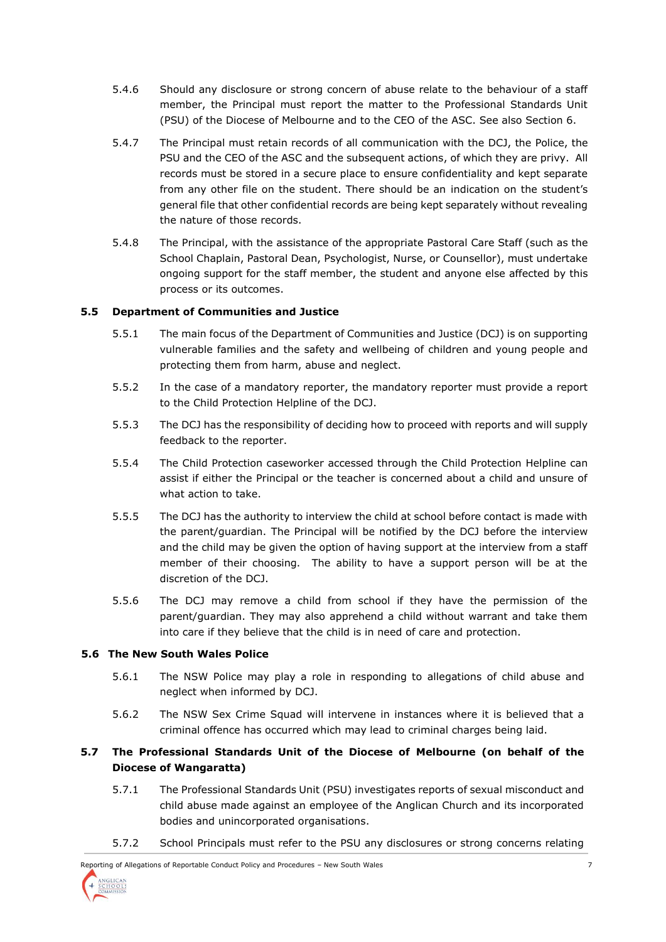- 5.4.6 Should any disclosure or strong concern of abuse relate to the behaviour of a staff member, the Principal must report the matter to the Professional Standards Unit (PSU) of the Diocese of Melbourne and to the CEO of the ASC. See also Section 6.
- 5.4.7 The Principal must retain records of all communication with the DCJ, the Police, the PSU and the CEO of the ASC and the subsequent actions, of which they are privy. All records must be stored in a secure place to ensure confidentiality and kept separate from any other file on the student. There should be an indication on the student's general file that other confidential records are being kept separately without revealing the nature of those records.
- 5.4.8 The Principal, with the assistance of the appropriate Pastoral Care Staff (such as the School Chaplain, Pastoral Dean, Psychologist, Nurse, or Counsellor), must undertake ongoing support for the staff member, the student and anyone else affected by this process or its outcomes.

## **5.5 Department of Communities and Justice**

- 5.5.1 The main focus of the Department of Communities and Justice (DCJ) is on supporting vulnerable families and the safety and wellbeing of children and young people and protecting them from harm, abuse and neglect.
- 5.5.2 In the case of a mandatory reporter, the mandatory reporter must provide a report to the Child Protection Helpline of the DCJ.
- 5.5.3 The DCJ has the responsibility of deciding how to proceed with reports and will supply feedback to the reporter.
- 5.5.4 The Child Protection caseworker accessed through the Child Protection Helpline can assist if either the Principal or the teacher is concerned about a child and unsure of what action to take.
- 5.5.5 The DCJ has the authority to interview the child at school before contact is made with the parent/guardian. The Principal will be notified by the DCJ before the interview and the child may be given the option of having support at the interview from a staff member of their choosing. The ability to have a support person will be at the discretion of the DCJ.
- 5.5.6 The DCJ may remove a child from school if they have the permission of the parent/guardian. They may also apprehend a child without warrant and take them into care if they believe that the child is in need of care and protection.

## **5.6 The New South Wales Police**

- 5.6.1 The NSW Police may play a role in responding to allegations of child abuse and neglect when informed by DCJ.
- 5.6.2 The NSW Sex Crime Squad will intervene in instances where it is believed that a criminal offence has occurred which may lead to criminal charges being laid.

# **5.7 The Professional Standards Unit of the Diocese of Melbourne (on behalf of the Diocese of Wangaratta)**

- 5.7.1 The Professional Standards Unit (PSU) investigates reports of sexual misconduct and child abuse made against an employee of the Anglican Church and its incorporated bodies and unincorporated organisations.
- 5.7.2 School Principals must refer to the PSU any disclosures or strong concerns relating

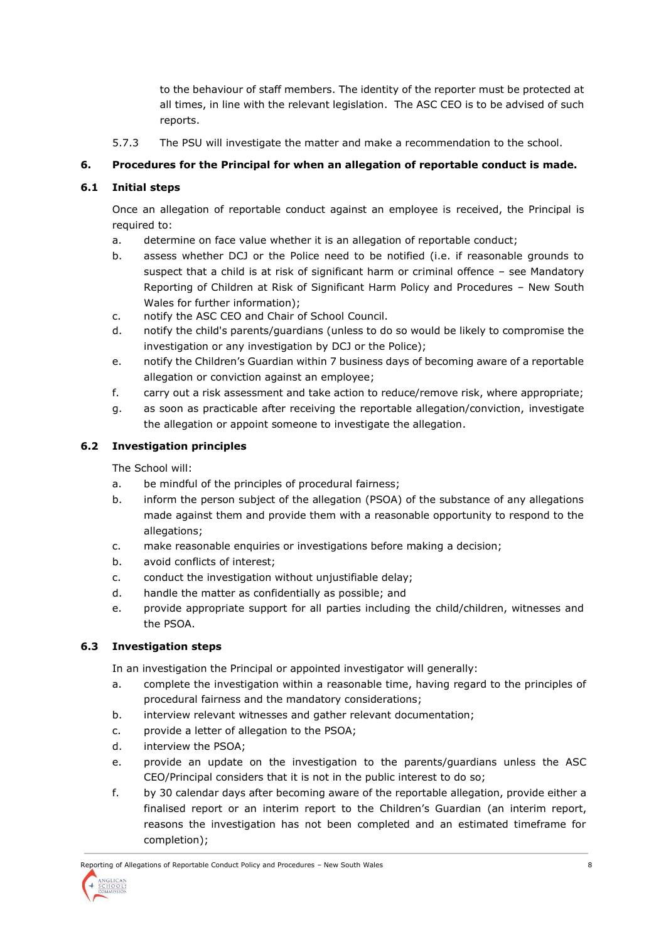to the behaviour of staff members. The identity of the reporter must be protected at all times, in line with the relevant legislation. The ASC CEO is to be advised of such reports.

5.7.3 The PSU will investigate the matter and make a recommendation to the school.

# **6. Procedures for the Principal for when an allegation of reportable conduct is made.**

## **6.1 Initial steps**

Once an allegation of reportable conduct against an employee is received, the Principal is required to:

- a. determine on face value whether it is an allegation of reportable conduct;
- b. assess whether DCJ or the Police need to be notified (i.e. if reasonable grounds to suspect that a child is at risk of significant harm or criminal offence – see Mandatory Reporting of Children at Risk of Significant Harm Policy and Procedures – New South Wales for further information);
- c. notify the ASC CEO and Chair of School Council.
- d. notify the child's parents/guardians (unless to do so would be likely to compromise the investigation or any investigation by DCJ or the Police);
- e. notify the Children's Guardian within 7 business days of becoming aware of a reportable allegation or conviction against an employee;
- f. carry out a risk assessment and take action to reduce/remove risk, where appropriate;
- g. as soon as practicable after receiving the reportable allegation/conviction, investigate the allegation or appoint someone to investigate the allegation.

## **6.2 Investigation principles**

The School will:

- a. be mindful of the principles of procedural fairness;
- b. inform the person subject of the allegation (PSOA) of the substance of any allegations made against them and provide them with a reasonable opportunity to respond to the allegations;
- c. make reasonable enquiries or investigations before making a decision;
- b. avoid conflicts of interest;
- c. conduct the investigation without unjustifiable delay;
- d. handle the matter as confidentially as possible; and
- e. provide appropriate support for all parties including the child/children, witnesses and the PSOA.

## **6.3 Investigation steps**

In an investigation the Principal or appointed investigator will generally:

- a. complete the investigation within a reasonable time, having regard to the principles of procedural fairness and the mandatory considerations;
- b. interview relevant witnesses and gather relevant documentation;
- c. provide a letter of allegation to the PSOA;
- d. interview the PSOA;
- e. provide an update on the investigation to the parents/guardians unless the ASC CEO/Principal considers that it is not in the public interest to do so;
- f. by 30 calendar days after becoming aware of the reportable allegation, provide either a finalised report or an interim report to the Children's Guardian (an interim report, reasons the investigation has not been completed and an estimated timeframe for completion);

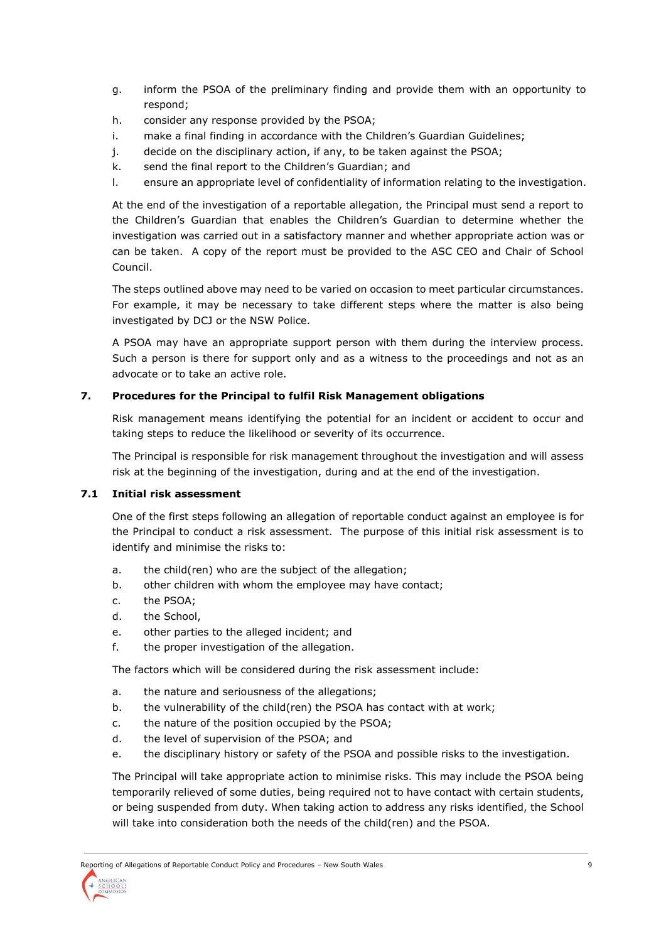- g. inform the PSOA of the preliminary finding and provide them with an opportunity to respond;
- h. consider any response provided by the PSOA;
- i. make a final finding in accordance with the Children's Guardian Guidelines;
- j. decide on the disciplinary action, if any, to be taken against the PSOA;
- k. send the final report to the Children's Guardian; and
- l. ensure an appropriate level of confidentiality of information relating to the investigation.

At the end of the investigation of a reportable allegation, the Principal must send a report to the Children's Guardian that enables the Children's Guardian to determine whether the investigation was carried out in a satisfactory manner and whether appropriate action was or can be taken. A copy of the report must be provided to the ASC CEO and Chair of School Council.

The steps outlined above may need to be varied on occasion to meet particular circumstances. For example, it may be necessary to take different steps where the matter is also being investigated by DCJ or the NSW Police.

A PSOA may have an appropriate support person with them during the interview process. Such a person is there for support only and as a witness to the proceedings and not as an advocate or to take an active role.

## **7. Procedures for the Principal to fulfil Risk Management obligations**

Risk management means identifying the potential for an incident or accident to occur and taking steps to reduce the likelihood or severity of its occurrence.

The Principal is responsible for risk management throughout the investigation and will assess risk at the beginning of the investigation, during and at the end of the investigation.

## **7.1 Initial risk assessment**

One of the first steps following an allegation of reportable conduct against an employee is for the Principal to conduct a risk assessment. The purpose of this initial risk assessment is to identify and minimise the risks to:

- a. the child(ren) who are the subject of the allegation;
- b. other children with whom the employee may have contact;
- c. the PSOA;
- d. the School,
- e. other parties to the alleged incident; and
- f. the proper investigation of the allegation.

The factors which will be considered during the risk assessment include:

- a. the nature and seriousness of the allegations;
- b. the vulnerability of the child(ren) the PSOA has contact with at work;
- c. the nature of the position occupied by the PSOA;
- d. the level of supervision of the PSOA; and
- e. the disciplinary history or safety of the PSOA and possible risks to the investigation.

The Principal will take appropriate action to minimise risks. This may include the PSOA being temporarily relieved of some duties, being required not to have contact with certain students, or being suspended from duty. When taking action to address any risks identified, the School will take into consideration both the needs of the child(ren) and the PSOA.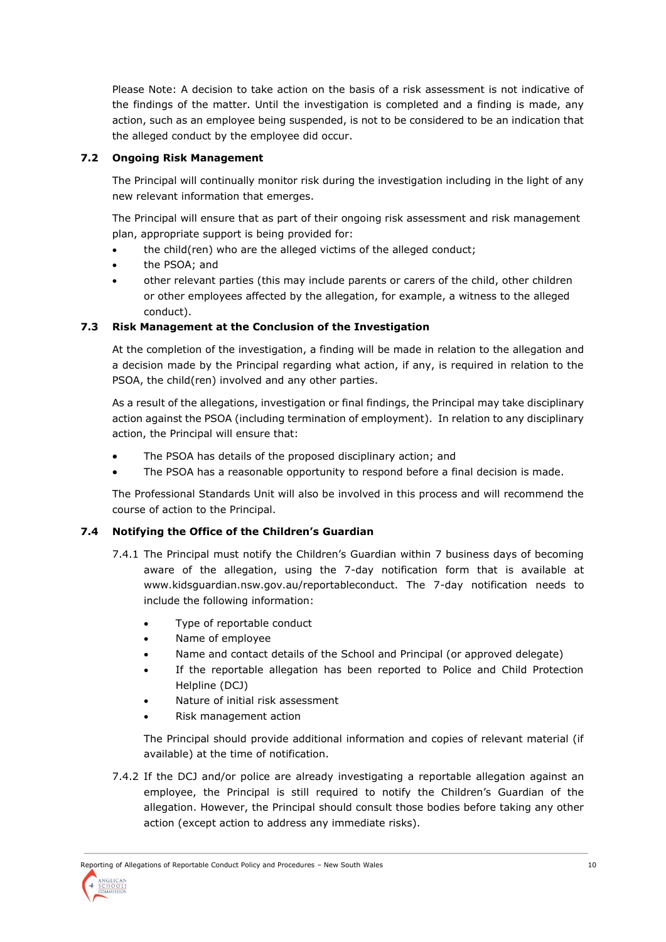Please Note: A decision to take action on the basis of a risk assessment is not indicative of the findings of the matter. Until the investigation is completed and a finding is made, any action, such as an employee being suspended, is not to be considered to be an indication that the alleged conduct by the employee did occur.

## **7.2 Ongoing Risk Management**

The Principal will continually monitor risk during the investigation including in the light of any new relevant information that emerges.

The Principal will ensure that as part of their ongoing risk assessment and risk management plan, appropriate support is being provided for:

- the child(ren) who are the alleged victims of the alleged conduct;
- the PSOA; and
- other relevant parties (this may include parents or carers of the child, other children or other employees affected by the allegation, for example, a witness to the alleged conduct).

## **7.3 Risk Management at the Conclusion of the Investigation**

At the completion of the investigation, a finding will be made in relation to the allegation and a decision made by the Principal regarding what action, if any, is required in relation to the PSOA, the child(ren) involved and any other parties.

As a result of the allegations, investigation or final findings, the Principal may take disciplinary action against the PSOA (including termination of employment). In relation to any disciplinary action, the Principal will ensure that:

- The PSOA has details of the proposed disciplinary action; and
- The PSOA has a reasonable opportunity to respond before a final decision is made.

The Professional Standards Unit will also be involved in this process and will recommend the course of action to the Principal.

## **7.4 Notifying the Office of the Children's Guardian**

- 7.4.1 The Principal must notify the Children's Guardian within 7 business days of becoming aware of the allegation, using the 7-day notification form that is available at www.kidsguardian.nsw.gov.au/reportableconduct. The 7-day notification needs to include the following information:
	- Type of reportable conduct
	- Name of employee
	- Name and contact details of the School and Principal (or approved delegate)
	- If the reportable allegation has been reported to Police and Child Protection Helpline (DCJ)
	- Nature of initial risk assessment
	- Risk management action

The Principal should provide additional information and copies of relevant material (if available) at the time of notification.

7.4.2 If the DCJ and/or police are already investigating a reportable allegation against an employee, the Principal is still required to notify the Children's Guardian of the allegation. However, the Principal should consult those bodies before taking any other action (except action to address any immediate risks).

Reporting of Allegations of Reportable Conduct Policy and Procedures – New South Wales 10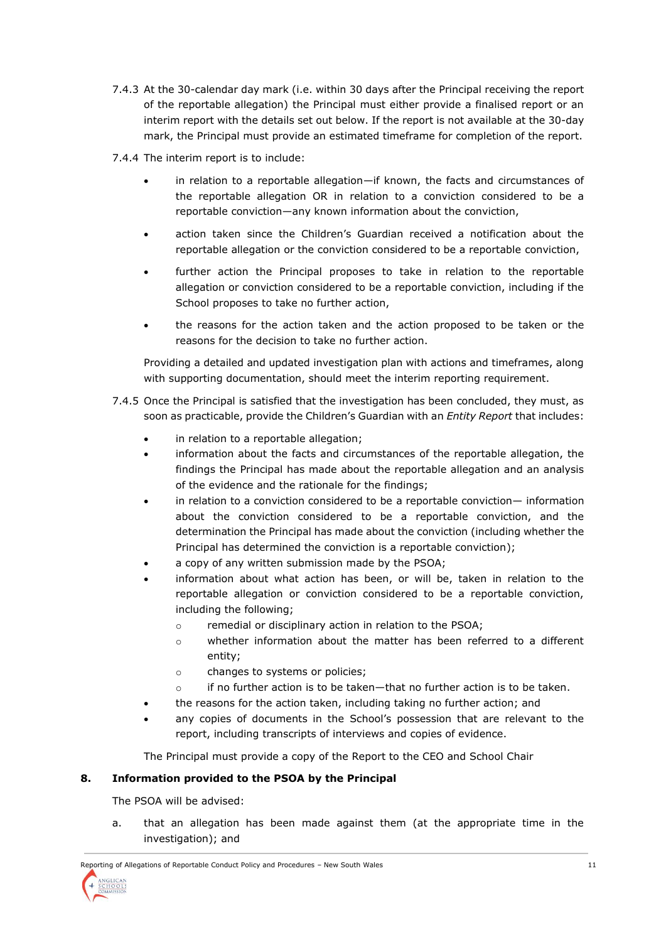- 7.4.3 At the 30-calendar day mark (i.e. within 30 days after the Principal receiving the report of the reportable allegation) the Principal must either provide a finalised report or an interim report with the details set out below. If the report is not available at the 30-day mark, the Principal must provide an estimated timeframe for completion of the report.
- 7.4.4 The interim report is to include:
	- in relation to a reportable allegation—if known, the facts and circumstances of the reportable allegation OR in relation to a conviction considered to be a reportable conviction—any known information about the conviction,
	- action taken since the Children's Guardian received a notification about the reportable allegation or the conviction considered to be a reportable conviction,
	- further action the Principal proposes to take in relation to the reportable allegation or conviction considered to be a reportable conviction, including if the School proposes to take no further action,
	- the reasons for the action taken and the action proposed to be taken or the reasons for the decision to take no further action.

Providing a detailed and updated investigation plan with actions and timeframes, along with supporting documentation, should meet the interim reporting requirement.

- 7.4.5 Once the Principal is satisfied that the investigation has been concluded, they must, as soon as practicable, provide the Children's Guardian with an *Entity Report* that includes:
	- in relation to a reportable allegation;
	- information about the facts and circumstances of the reportable allegation, the findings the Principal has made about the reportable allegation and an analysis of the evidence and the rationale for the findings;
	- in relation to a conviction considered to be a reportable conviction— information about the conviction considered to be a reportable conviction, and the determination the Principal has made about the conviction (including whether the Principal has determined the conviction is a reportable conviction);
	- a copy of any written submission made by the PSOA;
	- information about what action has been, or will be, taken in relation to the reportable allegation or conviction considered to be a reportable conviction, including the following;
		- o remedial or disciplinary action in relation to the PSOA;
		- o whether information about the matter has been referred to a different entity;
		- o changes to systems or policies;
		- $\circ$  if no further action is to be taken—that no further action is to be taken.
	- the reasons for the action taken, including taking no further action; and
	- any copies of documents in the School's possession that are relevant to the report, including transcripts of interviews and copies of evidence.

The Principal must provide a copy of the Report to the CEO and School Chair

## **8. Information provided to the PSOA by the Principal**

The PSOA will be advised:

a. that an allegation has been made against them (at the appropriate time in the investigation); and

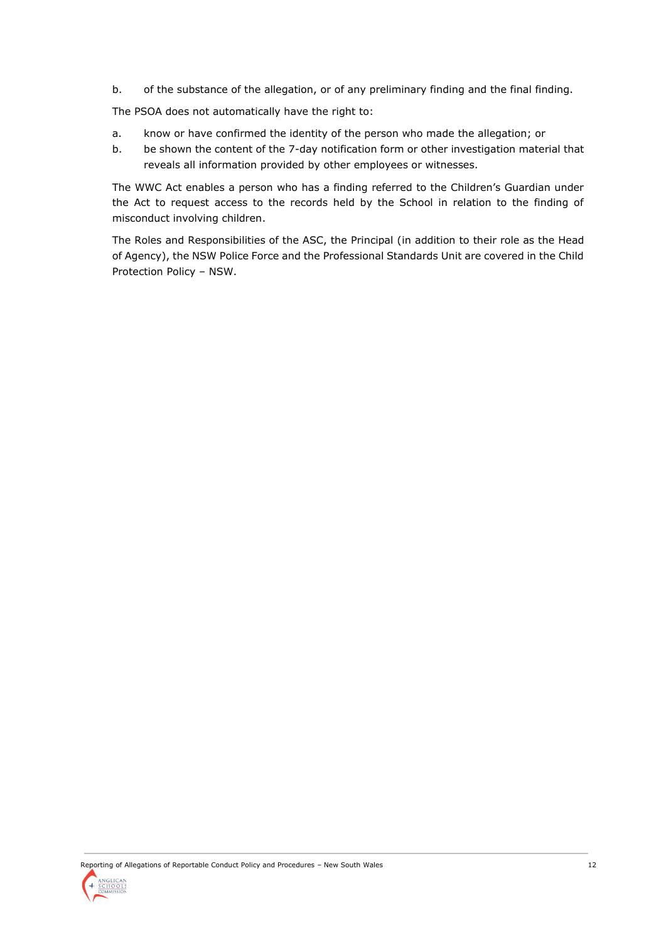b. of the substance of the allegation, or of any preliminary finding and the final finding.

The PSOA does not automatically have the right to:

- a. know or have confirmed the identity of the person who made the allegation; or
- b. be shown the content of the 7-day notification form or other investigation material that reveals all information provided by other employees or witnesses.

The WWC Act enables a person who has a finding referred to the Children's Guardian under the Act to request access to the records held by the School in relation to the finding of misconduct involving children.

The Roles and Responsibilities of the ASC, the Principal (in addition to their role as the Head of Agency), the NSW Police Force and the Professional Standards Unit are covered in the Child Protection Policy – NSW.

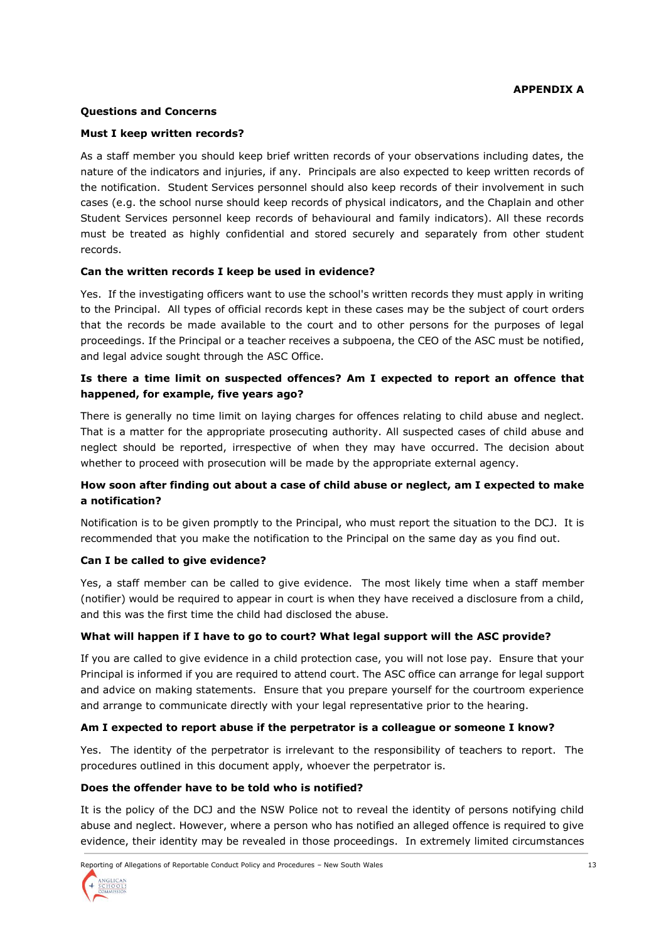#### **Questions and Concerns**

#### **Must I keep written records?**

As a staff member you should keep brief written records of your observations including dates, the nature of the indicators and injuries, if any. Principals are also expected to keep written records of the notification. Student Services personnel should also keep records of their involvement in such cases (e.g. the school nurse should keep records of physical indicators, and the Chaplain and other Student Services personnel keep records of behavioural and family indicators). All these records must be treated as highly confidential and stored securely and separately from other student records.

#### **Can the written records I keep be used in evidence?**

Yes. If the investigating officers want to use the school's written records they must apply in writing to the Principal. All types of official records kept in these cases may be the subject of court orders that the records be made available to the court and to other persons for the purposes of legal proceedings. If the Principal or a teacher receives a subpoena, the CEO of the ASC must be notified, and legal advice sought through the ASC Office.

## **Is there a time limit on suspected offences? Am I expected to report an offence that happened, for example, five years ago?**

There is generally no time limit on laying charges for offences relating to child abuse and neglect. That is a matter for the appropriate prosecuting authority. All suspected cases of child abuse and neglect should be reported, irrespective of when they may have occurred. The decision about whether to proceed with prosecution will be made by the appropriate external agency.

## **How soon after finding out about a case of child abuse or neglect, am I expected to make a notification?**

Notification is to be given promptly to the Principal, who must report the situation to the DCJ. It is recommended that you make the notification to the Principal on the same day as you find out.

#### **Can I be called to give evidence?**

Yes, a staff member can be called to give evidence. The most likely time when a staff member (notifier) would be required to appear in court is when they have received a disclosure from a child, and this was the first time the child had disclosed the abuse.

## **What will happen if I have to go to court? What legal support will the ASC provide?**

If you are called to give evidence in a child protection case, you will not lose pay. Ensure that your Principal is informed if you are required to attend court. The ASC office can arrange for legal support and advice on making statements. Ensure that you prepare yourself for the courtroom experience and arrange to communicate directly with your legal representative prior to the hearing.

#### **Am I expected to report abuse if the perpetrator is a colleague or someone I know?**

Yes. The identity of the perpetrator is irrelevant to the responsibility of teachers to report. The procedures outlined in this document apply, whoever the perpetrator is.

#### **Does the offender have to be told who is notified?**

It is the policy of the DCJ and the NSW Police not to reveal the identity of persons notifying child abuse and neglect. However, where a person who has notified an alleged offence is required to give evidence, their identity may be revealed in those proceedings. In extremely limited circumstances

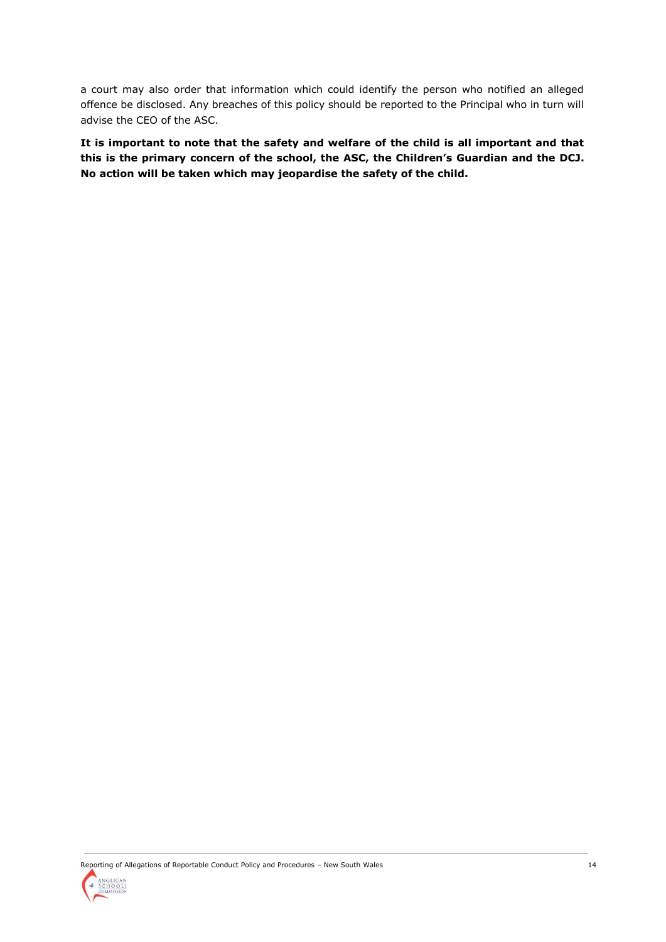a court may also order that information which could identify the person who notified an alleged offence be disclosed. Any breaches of this policy should be reported to the Principal who in turn will advise the CEO of the ASC.

**It is important to note that the safety and welfare of the child is all important and that this is the primary concern of the school, the ASC, the Children's Guardian and the DCJ. No action will be taken which may jeopardise the safety of the child.**

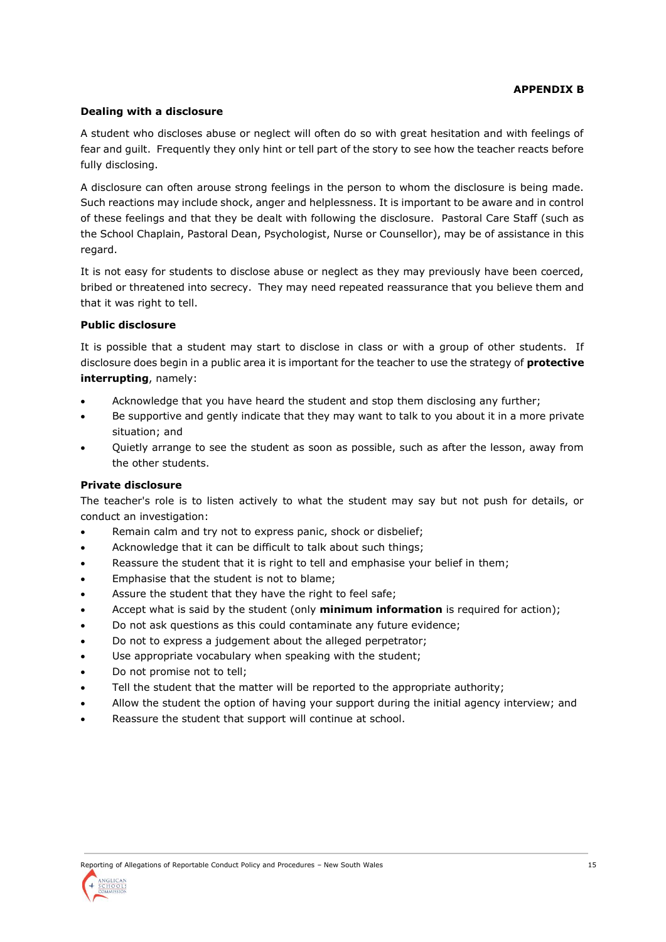## **APPENDIX B**

#### **Dealing with a disclosure**

A student who discloses abuse or neglect will often do so with great hesitation and with feelings of fear and guilt. Frequently they only hint or tell part of the story to see how the teacher reacts before fully disclosing.

A disclosure can often arouse strong feelings in the person to whom the disclosure is being made. Such reactions may include shock, anger and helplessness. It is important to be aware and in control of these feelings and that they be dealt with following the disclosure. Pastoral Care Staff (such as the School Chaplain, Pastoral Dean, Psychologist, Nurse or Counsellor), may be of assistance in this regard.

It is not easy for students to disclose abuse or neglect as they may previously have been coerced, bribed or threatened into secrecy. They may need repeated reassurance that you believe them and that it was right to tell.

#### **Public disclosure**

It is possible that a student may start to disclose in class or with a group of other students. If disclosure does begin in a public area it is important for the teacher to use the strategy of **protective interrupting**, namely:

- Acknowledge that you have heard the student and stop them disclosing any further;
- Be supportive and gently indicate that they may want to talk to you about it in a more private situation; and
- Quietly arrange to see the student as soon as possible, such as after the lesson, away from the other students.

#### **Private disclosure**

The teacher's role is to listen actively to what the student may say but not push for details, or conduct an investigation:

- Remain calm and try not to express panic, shock or disbelief;
- Acknowledge that it can be difficult to talk about such things;
- Reassure the student that it is right to tell and emphasise your belief in them;
- Emphasise that the student is not to blame;
- Assure the student that they have the right to feel safe;
- Accept what is said by the student (only **minimum information** is required for action);
- Do not ask questions as this could contaminate any future evidence;
- Do not to express a judgement about the alleged perpetrator;
- Use appropriate vocabulary when speaking with the student;
- Do not promise not to tell:
- Tell the student that the matter will be reported to the appropriate authority;
- Allow the student the option of having your support during the initial agency interview; and
- Reassure the student that support will continue at school.